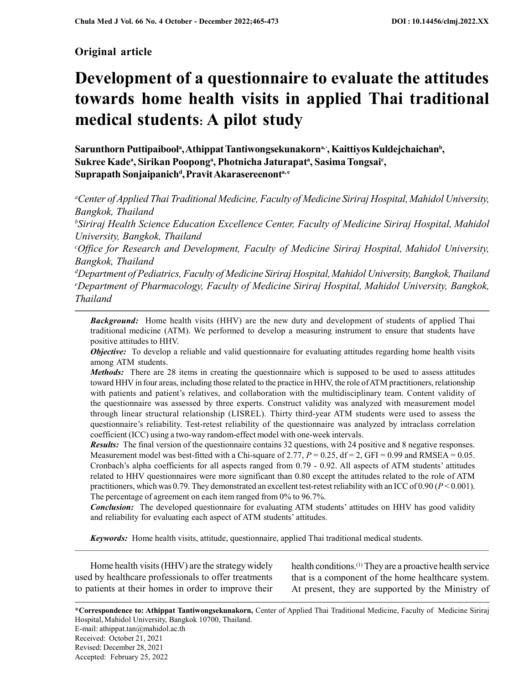# Original article

# Development of a questionnaire to evaluate the attitudes towards home health visits in applied Thai traditional medical students: A pilot study

Sarunthorn Puttipaibool<sup>a</sup>, Athippat Tantiwongsekunakorn<sup>a,</sup>\*, Kaittiyos Kuldejchaichan<sup>b</sup>, Sukree Kade<sup>a</sup>, Sirikan Poopong<sup>a</sup>, Photnicha Jaturapat<sup>a</sup>, Sasima Tongsai<sup>c</sup>, Suprapath Sonjaipanich<sup>d</sup>, Pravit Akarasereenont<sup>a, e</sup>

<sup>a</sup>Center of Applied Thai Traditional Medicine, Faculty of Medicine Siriraj Hospital, Mahidol University, Bangkok, Thailand

<sup>b</sup>Siriraj Health Science Education Excellence Center, Faculty of Medicine Siriraj Hospital, Mahidol University, Bangkok, Thailand

 $c$ Office for Research and Development, Faculty of Medicine Siriraj Hospital, Mahidol University, Bangkok, Thailand

<sup>d</sup>Department of Pediatrics, Faculty of Medicine Siriraj Hospital,Mahidol University, Bangkok, Thailand <sup>e</sup>Department of Pharmacology, Faculty of Medicine Siriraj Hospital, Mahidol University, Bangkok, Thailand

**Background:** Home health visits (HHV) are the new duty and development of students of applied Thai traditional medicine (ATM). We performed to develop a measuring instrument to ensure that students have positive attitudes to HHV.

**Objective:** To develop a reliable and valid questionnaire for evaluating attitudes regarding home health visits among ATM students.

Methods: There are 28 items in creating the questionnaire which is supposed to be used to assess attitudes toward HHV in four areas, including those related to the practice in HHV, the role of ATM practitioners, relationship with patients and patient's relatives, and collaboration with the multidisciplinary team. Content validity of the questionnaire was assessed by three experts. Construct validity was analyzed with measurement model through linear structural relationship (LISREL). Thirty third-year ATM students were used to assess the questionnaire's reliability. Test-retest reliability of the questionnaire was analyzed by intraclass correlation coefficient (ICC) using a two-way random-effect model with one-week intervals.

Results: The final version of the questionnaire contains 32 questions, with 24 positive and 8 negative responses. Measurement model was best-fitted with a Chi-square of 2.77,  $P = 0.25$ , df = 2, GFI = 0.99 and RMSEA = 0.05. Cronbach's alpha coefficients for all aspects ranged from 0.79 - 0.92. All aspects of ATM students' attitudes related to HHV questionnaires were more significant than 0.80 except the attitudes related to the role of ATM practitioners, which was 0.79. They demonstrated an excellent test-retest reliability with an ICC of 0.90 ( $P < 0.001$ ). The percentage of agreement on each item ranged from 0% to 96.7%.

**Conclusion:** The developed questionnaire for evaluating ATM students' attitudes on HHV has good validity and reliability for evaluating each aspect of ATM students' attitudes.

Keywords: Home health visits, attitude, questionnaire, applied Thai traditional medical students.

Home health visits (HHV) are the strategy widely used by healthcare professionals to offer treatments to patients at their homes in order to improve their health conditions.(1) They are a proactive health service that is a component of the home healthcare system. At present, they are supported by the Ministry of

\*Correspondence to: Athippat Tantiwongsekunakorn, Center of Applied Thai Traditional Medicine, Faculty of Medicine Siriraj Hospital, Mahidol University, Bangkok 10700, Thailand. E-mail: athippat.tan@mahidol.ac.th

Received: October 21, 2021

Revised: December 28, 2021

Accepted: February 25, 2022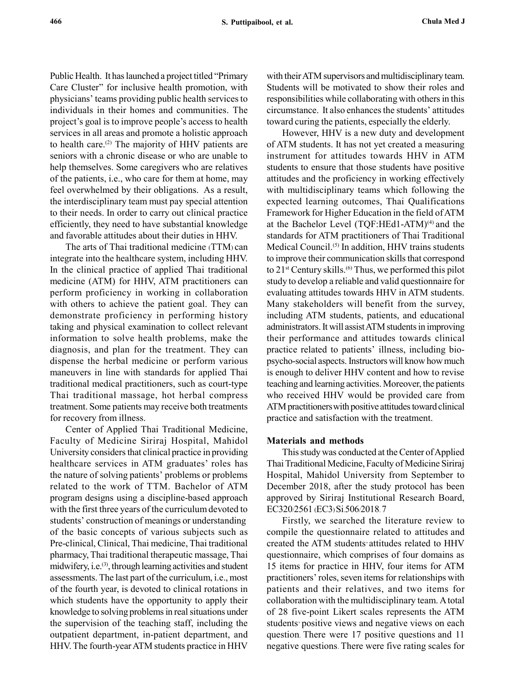Public Health. It has launched a project titled "Primary Care Cluster" for inclusive health promotion, with physicians' teams providing public health services to individuals in their homes and communities. The project's goal is to improve people's access to health services in all areas and promote a holistic approach to health care.<sup>(2)</sup> The majority of HHV patients are seniors with a chronic disease or who are unable to help themselves. Some caregivers who are relatives of the patients, i.e., who care for them at home, may feel overwhelmed by their obligations. As a result, the interdisciplinary team must pay special attention to their needs. In order to carry out clinical practice efficiently, they need to have substantial knowledge and favorable attitudes about their duties in HHV.

The arts of Thai traditional medicine (TTM) can integrate into the healthcare system, including HHV. In the clinical practice of applied Thai traditional medicine (ATM) for HHV, ATM practitioners can perform proficiency in working in collaboration with others to achieve the patient goal. They can demonstrate proficiency in performing history taking and physical examination to collect relevant information to solve health problems, make the diagnosis, and plan for the treatment. They can dispense the herbal medicine or perform various maneuvers in line with standards for applied Thai traditional medical practitioners, such as court-type Thai traditional massage, hot herbal compress treatment. Some patients may receive both treatments for recovery from illness.

Center of Applied Thai Traditional Medicine, Faculty of Medicine Siriraj Hospital, Mahidol University considers that clinical practice in providing healthcare services in ATM graduates' roles has the nature of solving patients' problems or problems related to the work of TTM. Bachelor of ATM program designs using a discipline-based approach with the first three years of the curriculum devoted to students' construction of meanings or understanding of the basic concepts of various subjects such as Pre-clinical, Clinical, Thai medicine, Thai traditional pharmacy, Thai traditional therapeutic massage, Thai midwifery, i.e.<sup>(3)</sup>, through learning activities and student assessments. The last part of the curriculum, i.e., most of the fourth year, is devoted to clinical rotations in which students have the opportunity to apply their knowledge to solving problems in real situations under the supervision of the teaching staff, including the outpatient department, in-patient department, and HHV. The fourth-year ATM students practice in HHV

with their ATM supervisors and multidisciplinary team. Students will be motivated to show their roles and responsibilities while collaborating with others in this circumstance. It also enhances the students' attitudes toward curing the patients, especially the elderly.

However, HHV is a new duty and development of ATM students. It has not yet created a measuring instrument for attitudes towards HHV in ATM students to ensure that those students have positive attitudes and the proficiency in working effectively with multidisciplinary teams which following the expected learning outcomes, Thai Qualifications Framework for Higher Education in the field of ATM at the Bachelor Level (TQF:HEd1-ATM) $(4)$  and the standards for ATM practitioners of Thai Traditional Medical Council.<sup>(5)</sup> In addition, HHV trains students to improve their communication skills that correspond to  $21^{st}$  Century skills.<sup>(6)</sup> Thus, we performed this pilot study to develop a reliable and valid questionnaire for evaluating attitudes towards HHV in ATM students. Many stakeholders will benefit from the survey, including ATM students, patients, and educational administrators. It will assist ATM students in improving their performance and attitudes towards clinical practice related to patients' illness, including biopsycho-social aspects. Instructors will know how much is enough to deliver HHV content and how to revise teaching and learning activities. Moreover, the patients who received HHV would be provided care from ATM practitionerswith positive attitudes toward clinical practice and satisfaction with the treatment.

#### Materials and methods

This study was conducted at the Center of Applied Thai Traditional Medicine, Faculty of Medicine Siriraj Hospital, Mahidol University from September to December 2018, after the study protocol has been approved by Siriraj Institutional Research Board, EC320/2561 (EC3) Si.506/2018. 7

Firstly, we searched the literature review to compile the questionnaire related to attitudes and created the ATM students' attitudes related to HHV questionnaire, which comprises of four domains as 15 items for practice in HHV, four items for ATM practitioners' roles, seven items for relationships with patients and their relatives, and two items for collaboration with the multidisciplinary team. A total of 28 five-point Likert scales represents the ATM students' positive views and negative views on each question. There were 17 positive questions and 11 negative questions. There were five rating scales for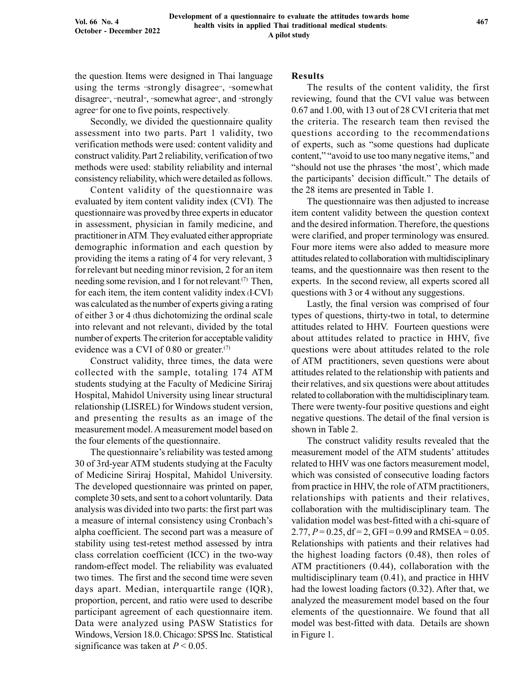the question. Items were designed in Thai language using the terms "strongly disagree", "somewhat disagree", "neutral", "somewhat agree", and "strongly agree" for one to five points, respectively.

Secondly, we divided the questionnaire quality assessment into two parts. Part 1 validity, two verification methods were used: content validity and construct validity.Part 2 reliability, verification of two methods were used: stability reliability and internal consistency reliability, which were detailed as follows.

Content validity of the questionnaire was evaluated by item content validity index (CVI). The questionnaire was provedby three experts in educator in assessment, physician in family medicine, and practitioner in ATM. They evaluated either appropriate demographic information and each question by providing the items a rating of 4 for very relevant, 3 forrelevant but needing minor revision, 2 for an item needing some revision, and 1 for not relevant.<sup>(7)</sup> Then, for each item, the item content validity index (I-CVI) was calculated as the number of experts giving a rating of either 3 or 4 (thus dichotomizing the ordinal scale into relevant and not relevant), divided by the total number of experts.The criterion for acceptable validity evidence was a CVI of  $0.80$  or greater.<sup>(7)</sup>

Construct validity, three times, the data were collected with the sample, totaling 174 ATM students studying at the Faculty of Medicine Siriraj Hospital, Mahidol University using linear structural relationship (LISREL) for Windows student version, and presenting the results as an image of the measurement model. A measurement model based on the four elements of the questionnaire.

The questionnaire's reliability was tested among 30 of 3rd-year ATM students studying at the Faculty of Medicine Siriraj Hospital, Mahidol University. The developed questionnaire was printed on paper, complete 30 sets, and sent to a cohort voluntarily. Data analysis was divided into two parts: the first part was a measure of internal consistency using Cronbach's alpha coefficient. The second part was a measure of stability using test-retest method assessed by intra class correlation coefficient (ICC) in the two-way random-effect model. The reliability was evaluated two times. The first and the second time were seven days apart. Median, interquartile range (IQR), proportion, percent, and ratio were used to describe participant agreement of each questionnaire item. Data were analyzed using PASW Statistics for Windows, Version 18.0. Chicago: SPSS Inc. Statistical significance was taken at  $P < 0.05$ .

#### Results

The results of the content validity, the first reviewing, found that the CVI value was between 0.67 and 1.00, with 13 out of 28 CVI criteria that met the criteria. The research team then revised the questions according to the recommendations of experts, such as "some questions had duplicate content," "avoid to use too many negative items," and "should not use the phrases 'the most', which made the participants' decision difficult." The details of the 28 items are presented in Table 1.

The questionnaire was then adjusted to increase item content validity between the question context and the desired information.Therefore, the questions were clarified, and proper terminology was ensured. Four more items were also added to measure more attitudes related to collaboration with multidisciplinary teams, and the questionnaire was then resent to the experts. In the second review, all experts scored all questions with 3 or 4 without any suggestions.

Lastly, the final version was comprised of four types of questions, thirty-two in total, to determine attitudes related to HHV. Fourteen questions were about attitudes related to practice in HHV, five questions were about attitudes related to the role of ATM practitioners, seven questions were about attitudes related to the relationship with patients and their relatives, and six questions were about attitudes related to collaboration with the multidisciplinary team. There were twenty-four positive questions and eight negative questions. The detail of the final version is shown in Table 2.

The construct validity results revealed that the measurement model of the ATM students' attitudes related to HHV was one factors measurement model, which was consisted of consecutive loading factors from practice in HHV, the role of ATM practitioners, relationships with patients and their relatives, collaboration with the multidisciplinary team. The validation model was best-fitted with a chi-square of 2.77,  $P = 0.25$ , df = 2, GFI = 0.99 and RMSEA = 0.05. Relationships with patients and their relatives had the highest loading factors (0.48), then roles of ATM practitioners (0.44), collaboration with the multidisciplinary team (0.41), and practice in HHV had the lowest loading factors (0.32). After that, we analyzed the measurement model based on the four elements of the questionnaire. We found that all model was best-fitted with data. Details are shown in Figure 1.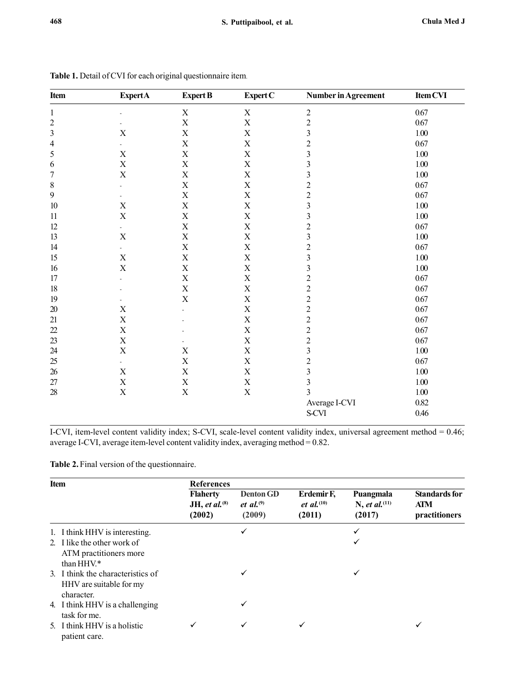| Item             | <b>ExpertA</b>            | <b>Expert B</b>           | Expert C                  | Number in Agreement     | Item CVI |
|------------------|---------------------------|---------------------------|---------------------------|-------------------------|----------|
| $\mathbf{1}$     | ä,                        | $\mathbf X$               | $\mathbf X$               | $\overline{c}$          | 0.67     |
| $\overline{c}$   |                           | X                         | $\bar{X}$                 | $\overline{c}$          | 0.67     |
| 3                | $\mathbf X$               | X                         | $\mathbf X$               | $\overline{\mathbf{3}}$ | 1.00     |
| $\overline{4}$   |                           | X                         | $\mathbf X$               | $\overline{c}$          | 0.67     |
| 5                | $\mathbf X$               | X                         | $\boldsymbol{\mathrm{X}}$ | $\mathfrak{Z}$          | $1.00\,$ |
| 6                | $\mathbf X$               | X                         | $\mathbf X$               | $\overline{\mathbf{3}}$ | $1.00\,$ |
| $\boldsymbol{7}$ | $\mathbf X$               | X                         | $\mathbf X$               | $\overline{\mathbf{3}}$ | $1.00\,$ |
| $\,$ $\,$        | $\overline{a}$            | $\boldsymbol{\mathrm{X}}$ | $\mathbf X$               | $\overline{c}$          | 0.67     |
| 9                |                           | $\mathbf X$               | $\mathbf X$               | $\overline{c}$          | 0.67     |
| 10               | $\mathbf X$               | X                         | $\mathbf X$               | $\overline{\mathbf{3}}$ | $1.00\,$ |
| 11               | $\mathbf X$               | $\mathbf X$               | $\mathbf X$               | $\overline{\mathbf{3}}$ | $1.00\,$ |
| 12               | ä,                        | X                         | $\mathbf X$               | $\overline{c}$          | $0.67\,$ |
| 13               | $\mathbf X$               | $\boldsymbol{\mathrm{X}}$ | $\mathbf X$               | $\overline{\mathbf{3}}$ | $1.00\,$ |
| 14               | $\blacksquare$            | X                         | $\mathbf X$               | $\overline{c}$          | 0.67     |
| 15               | $\mathbf X$               | $\boldsymbol{\mathrm{X}}$ | $\mathbf X$               | $\overline{\mathbf{3}}$ | $1.00\,$ |
| 16               | $\overline{X}$            | $\boldsymbol{\mathrm{X}}$ | $\mathbf X$               | $\mathfrak{Z}$          | $1.00\,$ |
| 17               |                           | X                         | $\mathbf X$               | $\overline{c}$          | 0.67     |
| 18               |                           | $\mathbf X$               | $\mathbf X$               | $\overline{c}$          | 0.67     |
| 19               |                           | X                         | $\mathbf X$               | $\overline{c}$          | 0.67     |
| $20\,$           | $\mathbf X$               |                           | $\mathbf X$               | $\overline{c}$          | 0.67     |
| 21               | X                         |                           | $\mathbf X$               | $\overline{c}$          | 0.67     |
| 22               | $\mathbf X$               |                           | $\mathbf X$               | $\overline{c}$          | 0.67     |
| 23               | $\mathbf X$               |                           | $\mathbf X$               | $\overline{2}$          | 0.67     |
| 24               | $\mathbf X$               | X                         | $\mathbf X$               | $\overline{\mathbf{3}}$ | $1.00\,$ |
| 25               |                           | X                         | $\mathbf X$               | $\overline{c}$          | 0.67     |
| 26               | $\mathbf X$               | $\mathbf X$               | $\mathbf X$               | $\overline{\mathbf{3}}$ | $1.00\,$ |
| 27               | $\mathbf X$               | $\mathbf X$               | $\mathbf X$               | $\overline{\mathbf{3}}$ | $1.00\,$ |
| $28\,$           | $\boldsymbol{\mathrm{X}}$ | $\mathbf X$               | $\mathbf X$               | 3                       | $1.00\,$ |
|                  |                           |                           |                           | Average I-CVI           | $0.82\,$ |
|                  |                           |                           |                           | S-CVI                   | 0.46     |

Table 1. Detail of CVI for each original questionnaire item.

I-CVI, item-level content validity index; S-CVI, scale-level content validity index, universal agreement method = 0.46; average I-CVI, average item-level content validity index, averaging method = 0.82.

Table 2. Final version of the questionnaire.

| <b>Item</b> |                                                                            | <b>References</b>                             |                                            |                                                       |                                                  |                                                     |  |
|-------------|----------------------------------------------------------------------------|-----------------------------------------------|--------------------------------------------|-------------------------------------------------------|--------------------------------------------------|-----------------------------------------------------|--|
|             |                                                                            | <b>Flaherty</b><br>JH, et al. $(8)$<br>(2002) | <b>Denton GD</b><br>et al. $(9)$<br>(2009) | Erdemir F,<br><i>et al.</i> <sup>(10)</sup><br>(2011) | Puangmala<br>N, et al. <sup>(11)</sup><br>(2017) | <b>Standards for</b><br><b>ATM</b><br>practitioners |  |
|             | 1. I think HHV is interesting.                                             |                                               |                                            |                                                       |                                                  |                                                     |  |
|             | 2. I like the other work of<br>ATM practitioners more<br>than HHV.*        |                                               |                                            |                                                       |                                                  |                                                     |  |
|             | 3. I think the characteristics of<br>HHV are suitable for my<br>character. |                                               |                                            |                                                       | ✓                                                |                                                     |  |
|             | 4. I think HHV is a challenging<br>task for me.                            |                                               |                                            |                                                       |                                                  |                                                     |  |
|             | 5. I think HHV is a holistic<br>patient care.                              |                                               |                                            |                                                       |                                                  | ✓                                                   |  |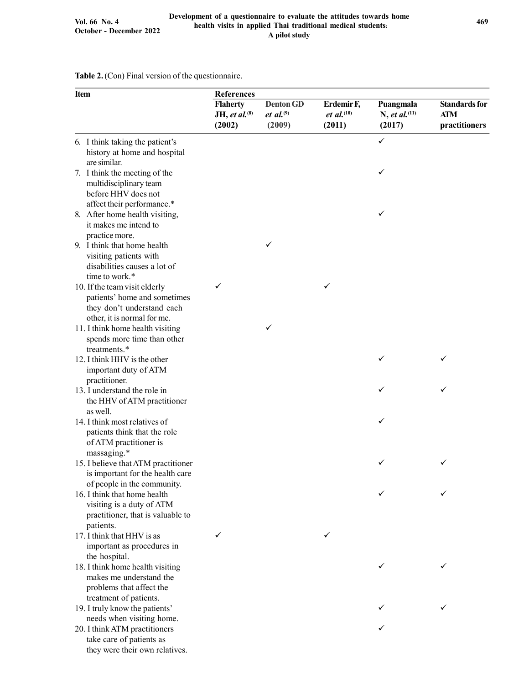Table 2.(Con) Final version of the questionnaire.

| Item                                                                                                                       | References                                    |                                            |                                                       |                                                  |                                                     |  |
|----------------------------------------------------------------------------------------------------------------------------|-----------------------------------------------|--------------------------------------------|-------------------------------------------------------|--------------------------------------------------|-----------------------------------------------------|--|
|                                                                                                                            | <b>Flaherty</b><br>JH, et al. $(8)$<br>(2002) | <b>Denton GD</b><br>et al. $(9)$<br>(2009) | Erdemir F,<br><i>et al.</i> <sup>(10)</sup><br>(2011) | Puangmala<br>N, et al. <sup>(11)</sup><br>(2017) | <b>Standards for</b><br><b>ATM</b><br>practitioners |  |
| 6. I think taking the patient's<br>history at home and hospital<br>are similar.                                            |                                               |                                            |                                                       | ✓                                                |                                                     |  |
| 7. I think the meeting of the<br>multidisciplinary team<br>before HHV does not                                             |                                               |                                            |                                                       | ✓                                                |                                                     |  |
| affect their performance.*<br>8. After home health visiting,<br>it makes me intend to                                      |                                               |                                            |                                                       | ✓                                                |                                                     |  |
| practice more.<br>9. I think that home health                                                                              |                                               | ✓                                          |                                                       |                                                  |                                                     |  |
| visiting patients with<br>disabilities causes a lot of<br>time to work.*                                                   |                                               |                                            |                                                       |                                                  |                                                     |  |
| 10. If the team visit elderly<br>patients' home and sometimes<br>they don't understand each<br>other, it is normal for me. | ✓                                             |                                            | ✓                                                     |                                                  |                                                     |  |
| 11. I think home health visiting<br>spends more time than other<br>treatments.*                                            |                                               | ✓                                          |                                                       |                                                  |                                                     |  |
| 12. I think HHV is the other<br>important duty of ATM<br>practitioner.                                                     |                                               |                                            |                                                       | ✓                                                | ✓                                                   |  |
| 13. I understand the role in<br>the HHV of ATM practitioner                                                                |                                               |                                            |                                                       | ✓                                                | ✓                                                   |  |
| as well.<br>14. I think most relatives of<br>patients think that the role<br>of ATM practitioner is<br>massaging.*         |                                               |                                            |                                                       | ✓                                                |                                                     |  |
| 15. I believe that ATM practitioner<br>is important for the health care<br>of people in the community.                     |                                               |                                            |                                                       | ✓                                                | ✓                                                   |  |
| 16. I think that home health<br>visiting is a duty of ATM<br>practitioner, that is valuable to<br>patients.                |                                               |                                            |                                                       |                                                  | ✓                                                   |  |
| 17. I think that HHV is as<br>important as procedures in                                                                   | ✓                                             |                                            |                                                       |                                                  |                                                     |  |
| the hospital.<br>18. I think home health visiting<br>makes me understand the<br>problems that affect the                   |                                               |                                            |                                                       |                                                  | ✓                                                   |  |
| treatment of patients.<br>19. I truly know the patients'<br>needs when visiting home.                                      |                                               |                                            |                                                       |                                                  |                                                     |  |
| 20. I think ATM practitioners<br>take care of patients as<br>they were their own relatives.                                |                                               |                                            |                                                       |                                                  |                                                     |  |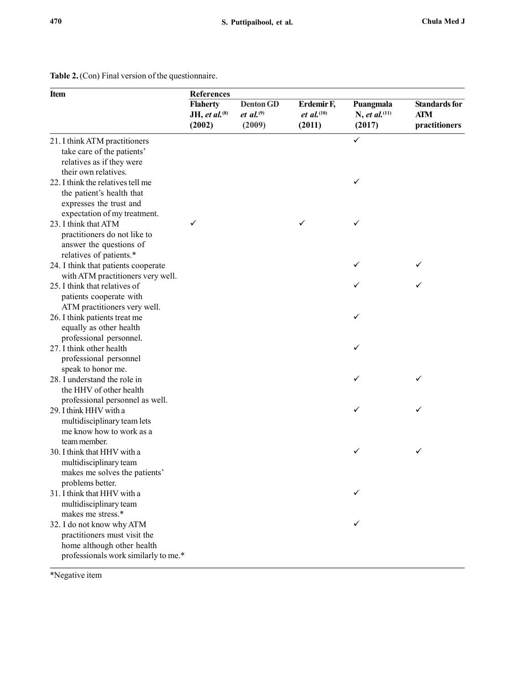| <b>Item</b>                                                                                                                     | <b>References</b>                             |                                            |                                                       |                                                  |                                              |  |  |
|---------------------------------------------------------------------------------------------------------------------------------|-----------------------------------------------|--------------------------------------------|-------------------------------------------------------|--------------------------------------------------|----------------------------------------------|--|--|
|                                                                                                                                 | <b>Flaherty</b><br>JH, et al. $(8)$<br>(2002) | <b>Denton GD</b><br>et al. $(9)$<br>(2009) | Erdemir F,<br><i>et al.</i> <sup>(10)</sup><br>(2011) | Puangmala<br>N, et al. <sup>(11)</sup><br>(2017) | <b>Standards for</b><br>ATM<br>practitioners |  |  |
| 21. I think ATM practitioners<br>take care of the patients'<br>relatives as if they were<br>their own relatives.                |                                               |                                            |                                                       | $\checkmark$                                     |                                              |  |  |
| 22. I think the relatives tell me<br>the patient's health that<br>expresses the trust and<br>expectation of my treatment.       |                                               |                                            |                                                       | ✓                                                |                                              |  |  |
| 23. I think that ATM<br>practitioners do not like to<br>answer the questions of<br>relatives of patients.*                      | ✓                                             |                                            | ✓                                                     | ✓                                                |                                              |  |  |
| 24. I think that patients cooperate<br>with ATM practitioners very well.                                                        |                                               |                                            |                                                       |                                                  |                                              |  |  |
| 25. I think that relatives of<br>patients cooperate with<br>ATM practitioners very well.                                        |                                               |                                            |                                                       |                                                  |                                              |  |  |
| 26. I think patients treat me<br>equally as other health<br>professional personnel.                                             |                                               |                                            |                                                       | ✓                                                |                                              |  |  |
| 27. I think other health<br>professional personnel<br>speak to honor me.                                                        |                                               |                                            |                                                       | ✓                                                |                                              |  |  |
| 28. I understand the role in<br>the HHV of other health<br>professional personnel as well.                                      |                                               |                                            |                                                       | ✓                                                |                                              |  |  |
| 29. I think HHV with a<br>multidisciplinary team lets<br>me know how to work as a<br>team member.                               |                                               |                                            |                                                       | ✓                                                | ✓                                            |  |  |
| 30. I think that HHV with a<br>multidisciplinary team<br>makes me solves the patients'<br>problems better.                      |                                               |                                            |                                                       | ✓                                                | $\checkmark$                                 |  |  |
| 31. I think that HHV with a<br>multidisciplinary team<br>makes me stress.*                                                      |                                               |                                            |                                                       |                                                  |                                              |  |  |
| 32. I do not know why ATM<br>practitioners must visit the<br>home although other health<br>professionals work similarly to me.* |                                               |                                            |                                                       |                                                  |                                              |  |  |
| *Negative item                                                                                                                  |                                               |                                            |                                                       |                                                  |                                              |  |  |

#### Table 2.(Con) Final version of the questionnaire.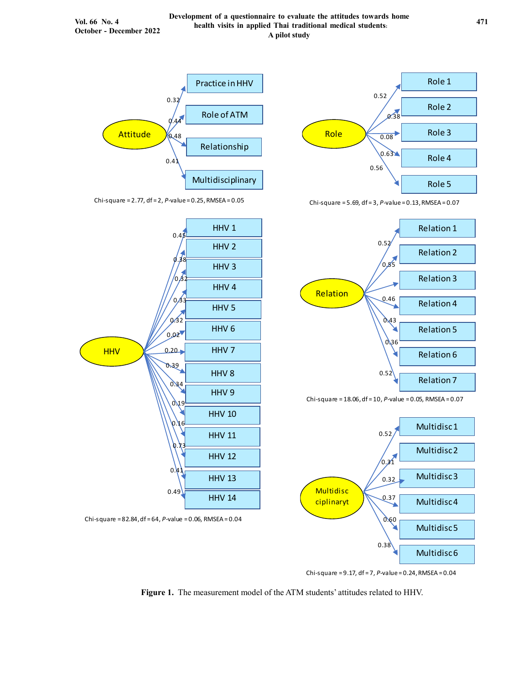

Chi-square = 2.77, df = 2, P-value = 0.25, RMSEA = 0.05





Chi-square = 5.69, df = 3,  $P$ -value = 0.13, RMSEA = 0.07







Chi-square =  $9.17$ , df =  $7$ ,  $P$ -value =  $0.24$ , RMSEA =  $0.04$ 

Figure 1. The measurement model of the ATM students' attitudes related to HHV.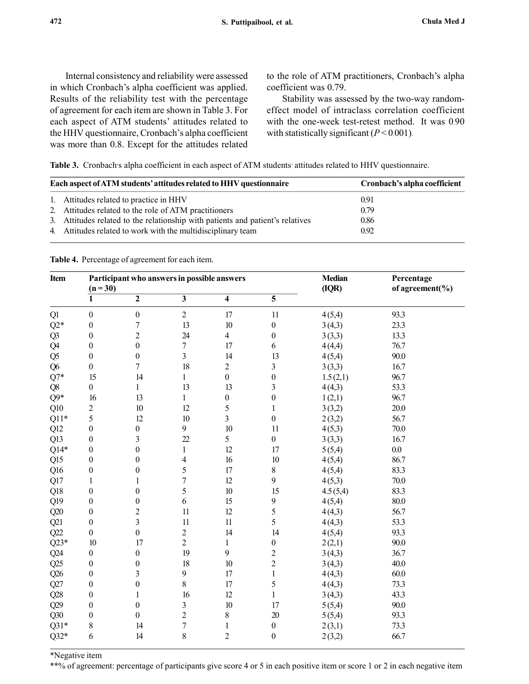Internal consistency and reliability were assessed in which Cronbach's alpha coefficient was applied. Results of the reliability test with the percentage of agreement for each item are shown in Table 3. For each aspect of ATM students' attitudes related to the HHV questionnaire, Cronbach's alpha coefficient was more than 0.8. Except for the attitudes related to the role of ATM practitioners, Cronbach's alpha coefficient was 0.79.

Stability was assessed by the two-way randomeffect model of intraclass correlation coefficient with the one-week test-retest method. It was 0.90 with statistically significant  $(P < 0.001)$ .

Table 3. Cronbach's alpha coefficient in each aspect of ATM students' attitudes related to HHV questionnaire.

| Each aspect of ATM students' attitudes related to HHV questionnaire            | Cronbach's alpha coefficient |
|--------------------------------------------------------------------------------|------------------------------|
| 1. Attitudes related to practice in HHV                                        | 0.91                         |
| 2. Attitudes related to the role of ATM practitioners                          | 0.79                         |
| 3. Attitudes related to the relationship with patients and patient's relatives | 0.86                         |
| 4. Attitudes related to work with the multidisciplinary team                   | 0.92                         |

Table 4. Percentage of agreement for each item.

|                | Participant who answers in possible answers<br><b>Median</b><br>(IQR)<br>$(n=30)$ |                         |                           |                         | Percentage<br>of agreement( $\%$ ) |          |      |
|----------------|-----------------------------------------------------------------------------------|-------------------------|---------------------------|-------------------------|------------------------------------|----------|------|
|                | 1                                                                                 | $\overline{2}$          | $\overline{\overline{3}}$ | 4                       | $\overline{5}$                     |          |      |
| Q1             | $\boldsymbol{0}$                                                                  | $\boldsymbol{0}$        | $\overline{c}$            | 17                      | 11                                 | 4(5,4)   | 93.3 |
| $Q2*$          | $\boldsymbol{0}$                                                                  | $\boldsymbol{7}$        | 13                        | 10                      | $\boldsymbol{0}$                   | 3(4,3)   | 23.3 |
| Q <sub>3</sub> | $\boldsymbol{0}$                                                                  | $\overline{c}$          | 24                        | $\overline{4}$          | $\boldsymbol{0}$                   | 3(3,3)   | 13.3 |
| Q4             | $\boldsymbol{0}$                                                                  | $\boldsymbol{0}$        | $\overline{7}$            | 17                      | 6                                  | 4(4,4)   | 76.7 |
| Q <sub>5</sub> | $\boldsymbol{0}$                                                                  | $\boldsymbol{0}$        | 3                         | 14                      | 13                                 | 4(5,4)   | 90.0 |
| Q <sub>6</sub> | $\boldsymbol{0}$                                                                  | $\overline{7}$          | 18                        | $\overline{c}$          | $\mathfrak{Z}$                     | 3(3,3)   | 16.7 |
| $Q7*$          | 15                                                                                | 14                      | $\mathbf{1}$              | $\boldsymbol{0}$        | $\boldsymbol{0}$                   | 1.5(2,1) | 96.7 |
| Q8             | $\overline{0}$                                                                    | 1                       | 13                        | 13                      | 3                                  | 4(4,3)   | 53.3 |
| $Q9*$          | 16                                                                                | 13                      | $\mathbf{1}$              | $\boldsymbol{0}$        | $\boldsymbol{0}$                   | 1(2,1)   | 96.7 |
| Q10            | $\overline{c}$                                                                    | 10                      | 12                        | 5                       | $\mathbf{1}$                       | 3(3,2)   | 20.0 |
| $Q11*$         | 5                                                                                 | 12                      | 10                        | $\overline{\mathbf{3}}$ | $\boldsymbol{0}$                   | 2(3,2)   | 56.7 |
| Q12            | $\boldsymbol{0}$                                                                  | $\boldsymbol{0}$        | 9                         | 10                      | 11                                 | 4(5,3)   | 70.0 |
| Q13            | $\boldsymbol{0}$                                                                  | $\overline{\mathbf{3}}$ | 22                        | 5                       | $\boldsymbol{0}$                   | 3(3,3)   | 16.7 |
| $Q14*$         | $\boldsymbol{0}$                                                                  | $\boldsymbol{0}$        | $\mathbf{1}$              | 12                      | 17                                 | 5(5,4)   | 0.0  |
| Q15            | $\theta$                                                                          | $\boldsymbol{0}$        | 4                         | 16                      | 10                                 | 4(5,4)   | 86.7 |
| Q16            | $\boldsymbol{0}$                                                                  | $\boldsymbol{0}$        | 5                         | 17                      | $8\,$                              | 4(5,4)   | 83.3 |
| Q17            | $\mathbf{1}$                                                                      | $\mathbf{1}$            | $\overline{7}$            | 12                      | 9                                  | 4(5,3)   | 70.0 |
| Q18            | $\boldsymbol{0}$                                                                  | $\boldsymbol{0}$        | 5                         | $10\,$                  | 15                                 | 4.5(5,4) | 83.3 |
| Q19            | $\boldsymbol{0}$                                                                  | $\boldsymbol{0}$        | 6                         | 15                      | 9                                  | 4(5,4)   | 80.0 |
| Q20            | $\boldsymbol{0}$                                                                  | $\overline{c}$          | 11                        | 12                      | 5                                  | 4(4,3)   | 56.7 |
| Q21            | $\boldsymbol{0}$                                                                  | $\overline{\mathbf{3}}$ | 11                        | 11                      | 5                                  | 4(4,3)   | 53.3 |
| Q22            | $\boldsymbol{0}$                                                                  | $\boldsymbol{0}$        | $\overline{c}$            | 14                      | 14                                 | 4(5,4)   | 93.3 |
| $Q23*$         | 10                                                                                | 17                      | $\overline{c}$            | $\,1$                   | $\boldsymbol{0}$                   | 2(2,1)   | 90.0 |
| Q24            | $\boldsymbol{0}$                                                                  | $\boldsymbol{0}$        | 19                        | 9                       | $\overline{c}$                     | 3(4,3)   | 36.7 |
| Q25            | $\boldsymbol{0}$                                                                  | $\boldsymbol{0}$        | 18                        | 10                      | $\overline{c}$                     | 3(4,3)   | 40.0 |
| Q26            | $\boldsymbol{0}$                                                                  | 3                       | 9                         | 17                      | $\mathbf{1}$                       | 4(4,3)   | 60.0 |
| Q27            | $\boldsymbol{0}$                                                                  | $\boldsymbol{0}$        | 8                         | 17                      | 5                                  | 4(4,3)   | 73.3 |
| Q28            | $\boldsymbol{0}$                                                                  | $\mathbf{1}$            | 16                        | 12                      | $\mathbf{1}$                       | 3(4,3)   | 43.3 |
| Q29            | $\boldsymbol{0}$                                                                  | $\boldsymbol{0}$        | 3                         | 10                      | 17                                 | 5(5,4)   | 90.0 |
| $Q30$          | $\boldsymbol{0}$                                                                  | $\boldsymbol{0}$        | $\overline{c}$            | $\,$ $\,$               | 20                                 | 5(5,4)   | 93.3 |
| $Q31*$         | 8                                                                                 | 14                      | $\sqrt{ }$                | $\mathbf{1}$            | $\boldsymbol{0}$                   | 2(3,1)   | 73.3 |
| $Q32*$         | 6                                                                                 | 14                      | 8                         | $\overline{2}$          | $\boldsymbol{0}$                   | 2(3,2)   | 66.7 |

\*Negative item

\*\*% of agreement: percentage of participants give score 4 or 5 in each positive item or score 1 or 2 in each negative item